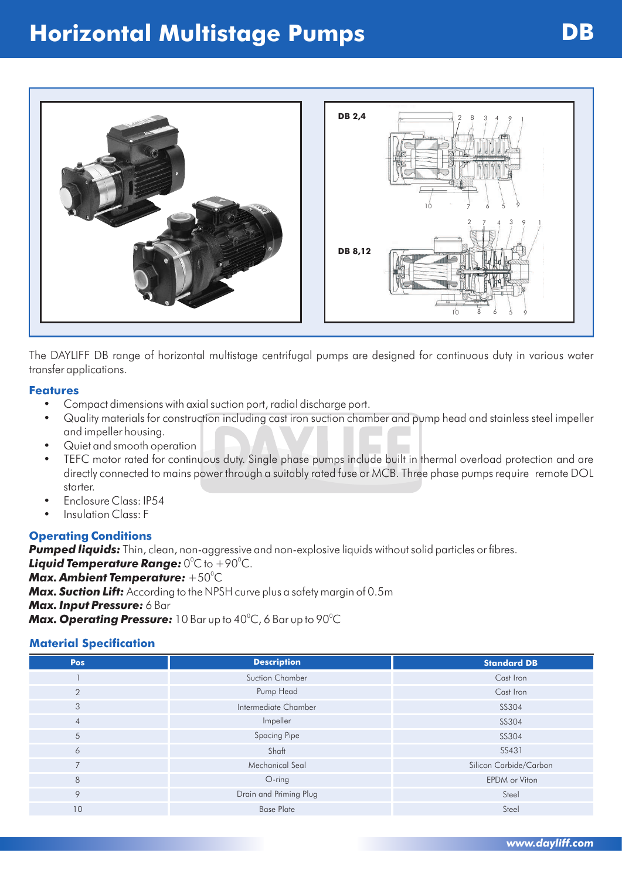

The DAYLIFF DB range of horizontal multistage centrifugal pumps are designed for continuous duty in various water transfer applications.

### **Features**

- Compact dimensions with axial suction port, radial discharge port.  $\bullet$
- Quality materials for construction including cast iron suction chamber and pump head and stainless steel impeller and impeller housing.
- Quiet and smooth operation
- TEFC motor rated for continuous duty. Single phase pumps include built in thermal overload protection and are directly connected to mains power through a suitably rated fuse or MCB. Three phase pumps require remote DOL starter.
- Enclosure Class: IP54
- Insulation Class: F

### **Operating Conditions**

**Pumped liquids:** Thin, clean, non-aggressive and non-explosive liquids without solid particles or fibres.

**Liquid Temperature Range:** 0°C to +90°C.

**Max. Ambient Temperature:**  $+50^{\circ}$ C

*Max. Suction Lift:* According to the NPSH curve plus a safety margin of 0.5m

*Max. Input Pressure:* 6 Bar

Max. Operating Pressure: 10 Bar up to 40<sup>°</sup>C, 6 Bar up to 90<sup>°</sup>C

### **Material Specification**

| <b>Pos</b>     | <b>Description</b>     | <b>Standard DB</b>     |
|----------------|------------------------|------------------------|
|                | Suction Chamber        | Cast Iron              |
| $\overline{2}$ | Pump Head              | Cast Iron              |
| 3              | Intermediate Chamber   | SS304                  |
| $\overline{4}$ | Impeller               | SS304                  |
| 5              | Spacing Pipe           | SS304                  |
| 6              | Shaft                  | SS431                  |
| $\overline{ }$ | Mechanical Seal        | Silicon Carbide/Carbon |
| 8              | $O$ -ring              | EPDM or Viton          |
| 9              | Drain and Priming Plug | Steel                  |
| 10             | <b>Base Plate</b>      | Steel                  |